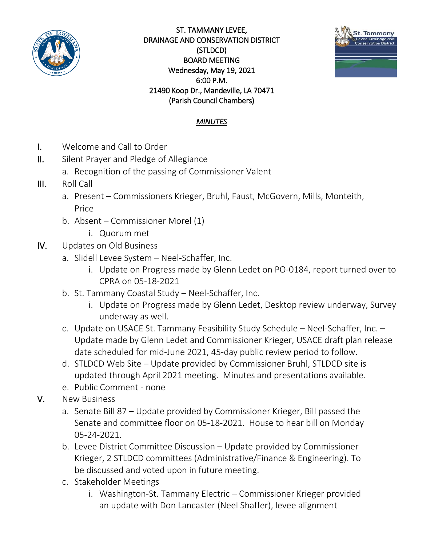

ST. TAMMANY LEVEE, DRAINAGE AND CONSERVATION DISTRICT (STLDCD) BOARD MEETING Wednesday, May 19, 2021 6:00 P.M. 21490 Koop Dr., Mandeville, LA 70471 (Parish Council Chambers)



## *MINUTES*

- I. Welcome and Call to Order
- II. Silent Prayer and Pledge of Allegiance
	- a. Recognition of the passing of Commissioner Valent
- III. Roll Call
	- a. Present Commissioners Krieger, Bruhl, Faust, McGovern, Mills, Monteith, Price
	- b. Absent Commissioner Morel (1)
		- i. Quorum met
- IV. Updates on Old Business
	- a. Slidell Levee System Neel-Schaffer, Inc.
		- i. Update on Progress made by Glenn Ledet on PO-0184, report turned over to CPRA on 05-18-2021
	- b. St. Tammany Coastal Study Neel-Schaffer, Inc.
		- i. Update on Progress made by Glenn Ledet, Desktop review underway, Survey underway as well.
	- c. Update on USACE St. Tammany Feasibility Study Schedule Neel-Schaffer, Inc. Update made by Glenn Ledet and Commissioner Krieger, USACE draft plan release date scheduled for mid-June 2021, 45-day public review period to follow.
	- d. STLDCD Web Site Update provided by Commissioner Bruhl, STLDCD site is updated through April 2021 meeting. Minutes and presentations available.
	- e. Public Comment none
- V. New Business
	- a. Senate Bill 87 Update provided by Commissioner Krieger, Bill passed the Senate and committee floor on 05-18-2021. House to hear bill on Monday 05-24-2021.
	- b. Levee District Committee Discussion Update provided by Commissioner Krieger, 2 STLDCD committees (Administrative/Finance & Engineering). To be discussed and voted upon in future meeting.
	- c. Stakeholder Meetings
		- i. Washington-St. Tammany Electric Commissioner Krieger provided an update with Don Lancaster (Neel Shaffer), levee alignment